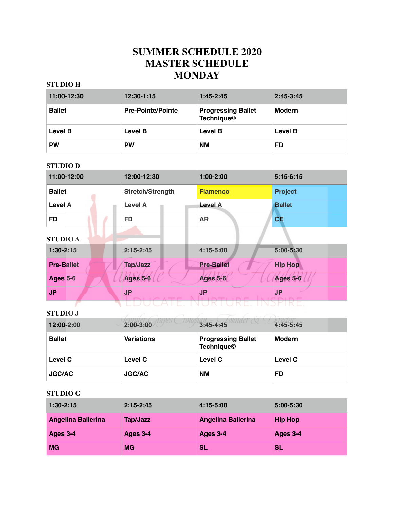### **SUMMER SCHEDULE 2020 MASTER SCHEDULE MONDAY**

### **STUDIO H**

| 11:00-12:30    | $12:30-1:15$             | $1:45-2:45$                                    | $2:45-3:45$    |
|----------------|--------------------------|------------------------------------------------|----------------|
| <b>Ballet</b>  | <b>Pre-Pointe/Pointe</b> | <b>Progressing Ballet</b><br><b>Technique©</b> | <b>Modern</b>  |
| <b>Level B</b> | <b>Level B</b>           | <b>Level B</b>                                 | <b>Level B</b> |
| <b>PW</b>      | <b>PW</b>                | <b>NM</b>                                      | FD             |

### **STUDIO D**

| 11:00-12:00       | 12:00-12:30      | $1:00-2:00$       | $5:15-6:15$     |
|-------------------|------------------|-------------------|-----------------|
| <b>Ballet</b>     | Stretch/Strength | <b>Flamenco</b>   | <b>Project</b>  |
| <b>Level A</b>    | <b>Level A</b>   | <b>Level A</b>    | <b>Ballet</b>   |
| <b>FD</b>         | <b>FD</b>        | <b>AR</b>         | <b>CE</b>       |
| <b>STUDIO A</b>   |                  |                   |                 |
| $1:30-2:15$       | $2:15 - 2:45$    | 4:15-5:00         | 5:00-5:30       |
| <b>Pre-Ballet</b> | Tap/Jazz         | <b>Pre-Ballet</b> | <b>Hip Hop</b>  |
| <b>Ages 5-6</b>   | <b>Ages 5-6</b>  | <b>Ages 5-6</b>   | <b>Ages 5-6</b> |
| <b>JP</b>         | <b>JP</b>        | JP.               | <b>JP</b>       |
|                   |                  |                   |                 |

### **STUDIO J**

| 12:00-2:00     | $2:00-3:00$       | $3:45 - 4:45$                                  | $4:45-5:45$ |
|----------------|-------------------|------------------------------------------------|-------------|
| <b>Ballet</b>  | <b>Variations</b> | <b>Progressing Ballet</b><br><b>Technique©</b> | Modern      |
| <b>Level C</b> | <b>Level C</b>    | Level C                                        | Level C     |
| <b>JGC/AC</b>  | <b>JGC/AC</b>     | <b>NM</b>                                      | FD          |

| $1:30-2:15$               | $2:15-2:45$ | 4:15-5:00                 | $5:00 - 5:30$  |
|---------------------------|-------------|---------------------------|----------------|
| <b>Angelina Ballerina</b> | Tap/Jazz    | <b>Angelina Ballerina</b> | <b>Hip Hop</b> |
| <b>Ages 3-4</b>           | Ages 3-4    | Ages 3-4                  | Ages 3-4       |
| MG                        | <b>MG</b>   | SL                        | SL             |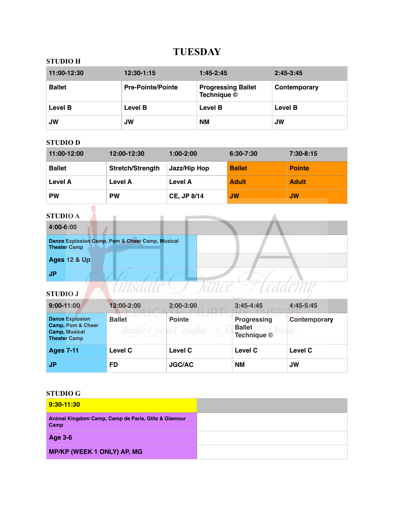## **TUESDAY**

### **STUDIO H**

| 11:00-12:30   | $12:30-1:15$             | $1:45 - 2:45$                            | $2:45 - 3:45$ |
|---------------|--------------------------|------------------------------------------|---------------|
| <b>Ballet</b> | <b>Pre-Pointe/Pointe</b> | <b>Progressing Ballet</b><br>Technique © | Contemporary  |
| Level B       | <b>Level B</b>           | <b>Level B</b>                           | Level B       |
| JW            | <b>JW</b>                | <b>NM</b>                                | JW            |

### **STUDIO D**

| 11:00-12:00    | 12:00-12:30             | $1:00-2:00$        | $6:30 - 7:30$ | $7:30-8:15$   |
|----------------|-------------------------|--------------------|---------------|---------------|
| <b>Ballet</b>  | <b>Stretch/Strength</b> | Jazz/Hip Hop       | <b>Ballet</b> | <b>Pointe</b> |
| <b>Level A</b> | <b>Level A</b>          | Level A            | <b>Adult</b>  | <b>Adult</b>  |
| <b>PW</b>      | <b>PW</b>               | <b>CE. JP 8/14</b> | <b>JW</b>     | <b>JW</b>     |

# **STUDIO A**

| <b>STUDIO A</b>                                                        |  |
|------------------------------------------------------------------------|--|
| 4:00-6:00                                                              |  |
| Dance Explosion Camp, Pom & Cheer Camp, Musical<br><b>Theater Camp</b> |  |
| <b>Ages 12 &amp; Up</b>                                                |  |
| JP                                                                     |  |
| <b>STUDIO J</b>                                                        |  |

| $9:00 - 11:00$                                                                      | 12:00-2:00                | $2:00-3:00$                      | $3:45 - 4:45$                                      | $4:45-5:45$  |
|-------------------------------------------------------------------------------------|---------------------------|----------------------------------|----------------------------------------------------|--------------|
| <b>Dance Explosion</b><br>Camp, Pom & Cheer<br>Camp, Musical<br><b>Theater Camp</b> | <b>Ballet</b><br>omiter i | <b>Pointe</b><br>roughan<br>CS ( | <b>Progressing</b><br><b>Ballet</b><br>Technique © | Contemporary |
| <b>Ages 7-11</b>                                                                    | Level C                   | Level C                          | Level C                                            | Level C      |
| J <sub>P</sub>                                                                      | <b>FD</b>                 | <b>JGC/AC</b>                    | <b>NM</b>                                          | <b>JW</b>    |

| 9:30-11:30                                                  |  |
|-------------------------------------------------------------|--|
| Animal Kingdom Camp, Camp de Paris, Glitz & Glamour<br>Camp |  |
| <b>Age 3-6</b>                                              |  |
| <b>MP/KP (WEEK 1 ONLY) AP, MG</b>                           |  |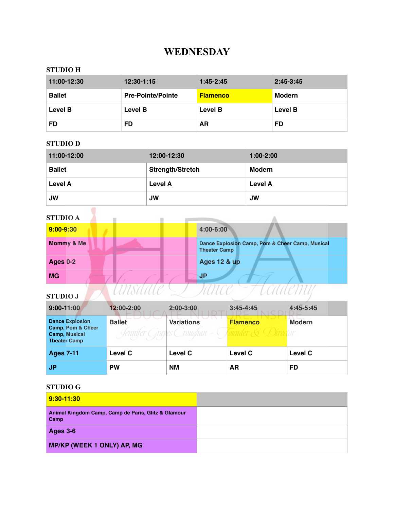## **WEDNESDAY**

### **STUDIO H**

| 11:00-12:30   | $12:30-1:15$             | $1:45 - 2:45$   | $2:45-3:45$    |
|---------------|--------------------------|-----------------|----------------|
| <b>Ballet</b> | <b>Pre-Pointe/Pointe</b> | <b>Flamenco</b> | Modern         |
| Level B       | Level B                  | Level B         | <b>Level B</b> |
| FD            | FD                       | AR              | FD             |

### **STUDIO D**

| 11:00-12:00    | 12:00-12:30             | $1:00-2:00$ |
|----------------|-------------------------|-------------|
| <b>Ballet</b>  | <b>Strength/Stretch</b> | Modern      |
| <b>Level A</b> | Level A                 | Level A     |
| <b>JW</b>      | <b>JW</b>               | <b>JW</b>   |

| <b>STUDIO A</b> |                                                                        |
|-----------------|------------------------------------------------------------------------|
| $9:00 - 9:30$   | 4:00-6:00                                                              |
| Mommy & Me      | Dance Explosion Camp, Pom & Cheer Camp, Musical<br><b>Theater Camp</b> |
| <b>Ages 0-2</b> | <b>Ages 12 &amp; up</b>                                                |
| <b>MG</b>       | JP                                                                     |
| <b>STUDIO J</b> |                                                                        |

| $9:00 - 11:00$                                                                      | 12:00-2:00                  | 2:00-3:00                      | $3:45 - 4:45$               | 4:45-5:45     |
|-------------------------------------------------------------------------------------|-----------------------------|--------------------------------|-----------------------------|---------------|
| <b>Dance Explosion</b><br>Camp, Pom & Cheer<br>Camp, Musical<br><b>Theater Camp</b> | <b>Ballet</b><br>งหนน่างๆ เ | <b>Variations</b><br>roughan - | <b>Flamenco</b><br>bunder & | <b>Modern</b> |
| <b>Ages 7-11</b>                                                                    | Level C                     | Level C                        | Level C                     | Level C       |
| <b>JP</b>                                                                           | <b>PW</b>                   | <b>NM</b>                      | <b>AR</b>                   | FD            |

| 9:30-11:30                                                  |  |
|-------------------------------------------------------------|--|
| Animal Kingdom Camp, Camp de Paris, Glitz & Glamour<br>Camp |  |
| <b>Ages 3-6</b>                                             |  |
| <b>MP/KP (WEEK 1 ONLY) AP, MG</b>                           |  |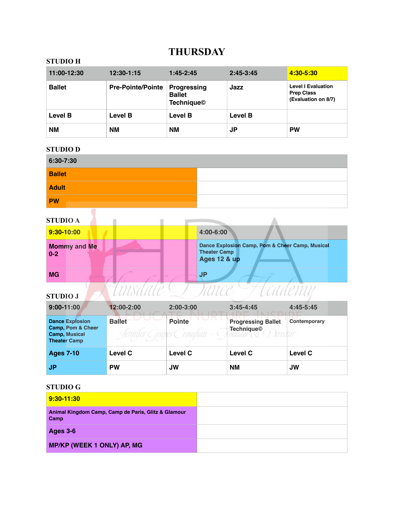### **THURSDAY**

### **STUDIO H**

| 11:00-12:30    | $12:30 - 1:15$           | $1:45-2:45$                                              | $2:45 - 3:45$ | 4:30-5:30                                                             |
|----------------|--------------------------|----------------------------------------------------------|---------------|-----------------------------------------------------------------------|
| <b>Ballet</b>  | <b>Pre-Pointe/Pointe</b> | <b>Progressing</b><br><b>Ballet</b><br><b>Technique©</b> | Jazz          | <b>Level I Evaluation</b><br><b>Prep Class</b><br>(Evaluation on 8/7) |
| <b>Level B</b> | Level B                  | Level B                                                  | Level B       |                                                                       |
| <b>NM</b>      | <b>NM</b>                | <b>NM</b>                                                | JP            | <b>PW</b>                                                             |

#### **STUDIO D**

| 6:30-7:30     |  |
|---------------|--|
| <b>Ballet</b> |  |
| <b>Adult</b>  |  |
| <b>PW</b>     |  |

# **STUDIO A**

| <b>STUDIO A</b>                |                                                                                                   |
|--------------------------------|---------------------------------------------------------------------------------------------------|
| 9:30-10:00                     | 4:00-6:00                                                                                         |
| <b>Mommy and Me</b><br>$0 - 2$ | Dance Explosion Camp, Pom & Cheer Camp, Musical<br><b>Theater Camp</b><br><b>Ages 12 &amp; up</b> |
| <b>MG</b>                      | <b>JP</b>                                                                                         |
| <b>STUDIO J</b>                | CAAPMI                                                                                            |

| $9:00 - 11:00$                                                                             | 12:00-2:00     | $2:00-3:00$                                   | $3:45 - 4:45$                                                              | $4:45-5:45$  |
|--------------------------------------------------------------------------------------------|----------------|-----------------------------------------------|----------------------------------------------------------------------------|--------------|
| <b>Dance Explosion</b><br>Camp, Pom & Cheer<br><b>Camp, Musical</b><br><b>Theater Camp</b> | <b>Ballet</b>  | <b>Pointe</b><br>Sennifer Grapes Croughan - ( | <b>Progressing Ballet</b><br>Technique <sup>©</sup><br>( <i>I</i> ) iredor | Contemporary |
| <b>Ages 7-10</b>                                                                           | <b>Level C</b> | <b>Level C</b>                                | Level C                                                                    | Level C      |
| <b>JP</b>                                                                                  | <b>PW</b>      | <b>JW</b>                                     | <b>NM</b>                                                                  | <b>JW</b>    |

| 9:30-11:30                                                  |  |
|-------------------------------------------------------------|--|
| Animal Kingdom Camp, Camp de Paris, Glitz & Glamour<br>Camp |  |
| <b>Ages 3-6</b>                                             |  |
| <b>MP/KP (WEEK 1 ONLY) AP, MG</b>                           |  |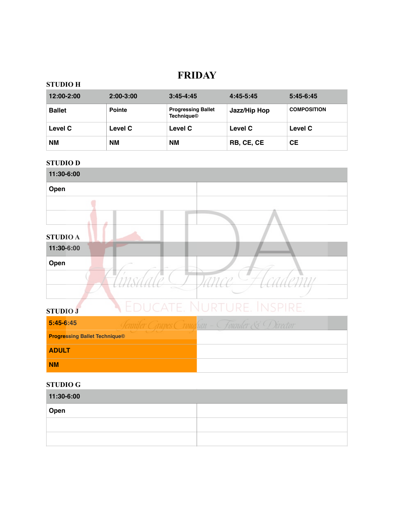### **FRIDAY**

### **STUDIO H**

| 12:00-2:00     | $2:00-3:00$   | $3:45 - 4:45$                                  | $4:45-5:45$  | $5:45-6:45$        |
|----------------|---------------|------------------------------------------------|--------------|--------------------|
| <b>Ballet</b>  | <b>Pointe</b> | <b>Progressing Ballet</b><br><b>Technique©</b> | Jazz/Hip Hop | <b>COMPOSITION</b> |
| <b>Level C</b> | Level C       | Level C                                        | Level C      | Level C            |
| <b>NM</b>      | <b>NM</b>     | <b>NM</b>                                      | RB, CE, CE   | <b>CE</b>          |

### **STUDIO D**



**NM**

**ADULT**

| 11:30-6:00 |  |
|------------|--|
| Open       |  |
|            |  |
|            |  |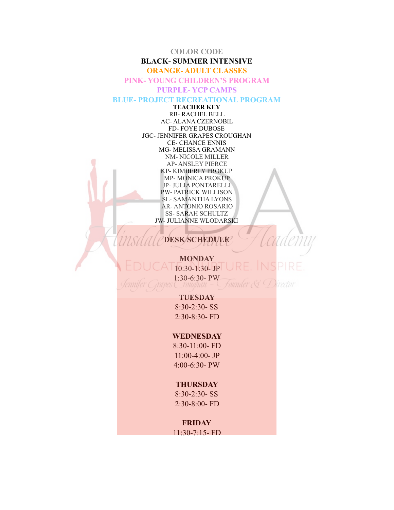#### **COLOR CODE**

### **BLACK- SUMMER INTENSIVE**

#### **ORANGE- ADULT CLASSES**

**PINK- YOUNG CHILDREN'S PROGRAM** 

#### **PURPLE- YCP CAMPS**

#### **BLUE- PROJECT RECREATIONAL PROGRAM**

**TEACHER KEY**  RB- RACHEL BELL AC- ALANA CZERNOBIL FD- FOYE DUBOSE JGC- JENNIFER GRAPES CROUGHAN CE- CHANCE ENNIS MG- MELISSA GRAMANN NM- NICOLE MILLER AP- ANSLEY PIERCE KP- KIMBERLY PROKUP MP- MONICA PROKUP JP- JULIA PONTARELLI PW- PATRICK WILLISON SL- SAMANTHA LYONS AR- ANTONIO ROSARIO SS- SARAH SCHULTZ JW- JULIANNE WLODARSKI

### **DESK SCHEDULE**

**MONDAY**   $10:30-1:30-$  JP 1:30-6:30- PW Founder & Director

#### **TUESDAY**

8:30-2:30- SS 2:30-8:30- FD

### **WEDNESDAY**

8:30-11:00- FD 11:00-4:00- JP 4:00-6:30- PW

#### **THURSDAY**

8:30-2:30- SS 2:30-8:00- FD

### **FRIDAY**

11:30-7:15- FD